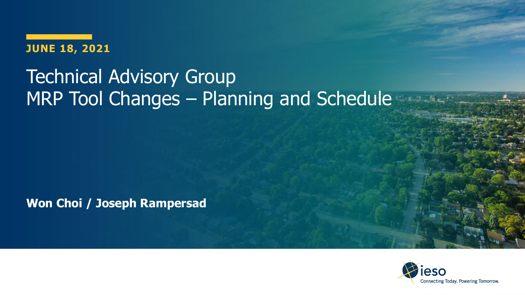#### **JUNE 18, 2021**

### Technical Advisory Group MRP Tool Changes – Planning and Schedule

**Won Choi / Joseph Rampersad** 

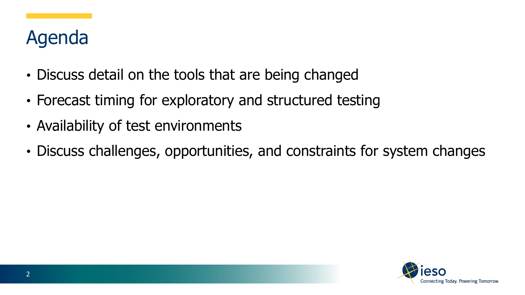### Agenda

- Discuss detail on the tools that are being changed
- Forecast timing for exploratory and structured testing
- Availability of test environments
- Discuss challenges, opportunities, and constraints for system changes

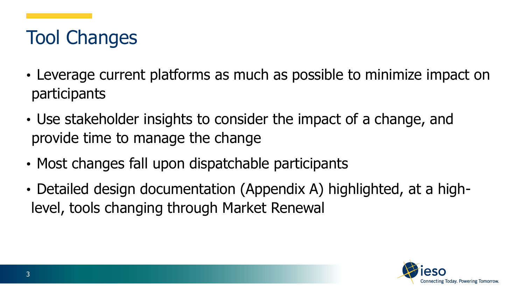## Tool Changes

- Leverage current platforms as much as possible to minimize impact on participants
- Use stakeholder insights to consider the impact of a change, and provide time to manage the change
- Most changes fall upon dispatchable participants
- Detailed design documentation (Appendix A) highlighted, at a highlevel, tools changing through Market Renewal

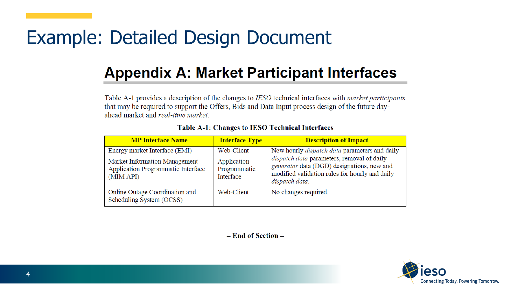### Example: Detailed Design Document

### **Appendix A: Market Participant Interfaces**

Table A-1 provides a description of the changes to IESO technical interfaces with *market participants* that may be required to support the Offers, Bids and Data Input process design of the future dayahead market and real-time market.

| <b>MP Interface Name</b>                                                         | <b>Interface Type</b>                    | <b>Description of Impact</b>                                                                                                                                                                                         |
|----------------------------------------------------------------------------------|------------------------------------------|----------------------------------------------------------------------------------------------------------------------------------------------------------------------------------------------------------------------|
| Energy market Interface (EMI)                                                    | Web-Client                               | New hourly <i>dispatch data</i> parameters and daily<br>dispatch data parameters, removal of daily<br>generator data (DGD) designations, new and<br>modified validation rules for hourly and daily<br>dispatch data. |
| Market Information Management<br>Application Programmatic Interface<br>(MIM API) | Application<br>Programmatic<br>Interface |                                                                                                                                                                                                                      |
| Online Outage Coordination and<br>Scheduling System (OCSS)                       | Web-Client                               | No changes required.                                                                                                                                                                                                 |

#### **Table A-1: Changes to IESO Technical Interfaces**

- End of Section -

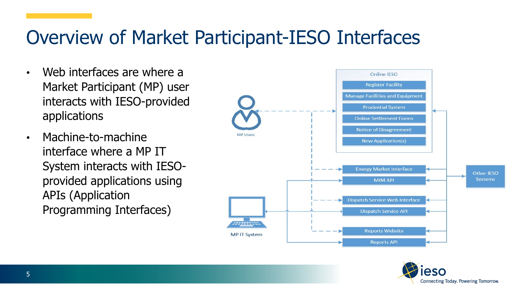### Overview of Market Participant-IESO Interfaces

- Web interfaces are where a Market Participant (MP) user interacts with IESO-provided applications
- Machine-to-machine interface where a MP IT System interacts with IESOprovided applications using APIs (Application Programming Interfaces)



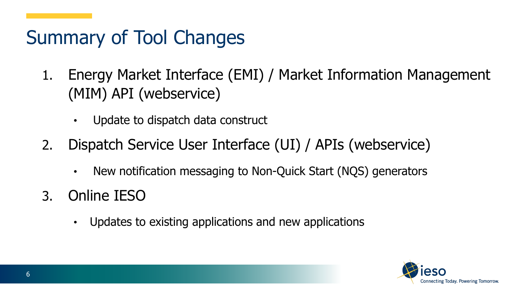# Summary of Tool Changes

- 1. Energy Market Interface (EMI) / Market Information Management (MIM) API (webservice)
	- Update to dispatch data construct
- 2. Dispatch Service User Interface (UI) / APIs (webservice)
	- New notification messaging to Non-Quick Start (NQS) generators
- 3. Online IESO
	- Updates to existing applications and new applications

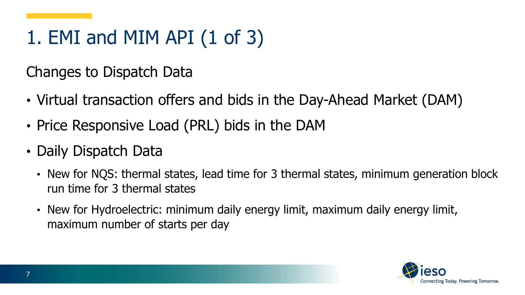# 1. EMI and MIM API (1 of 3)

Changes to Dispatch Data

- Virtual transaction offers and bids in the Day-Ahead Market (DAM)
- Price Responsive Load (PRL) bids in the DAM
- Daily Dispatch Data
	- New for NQS: thermal states, lead time for 3 thermal states, minimum generation block run time for 3 thermal states
	- New for Hydroelectric: minimum daily energy limit, maximum daily energy limit, maximum number of starts per day

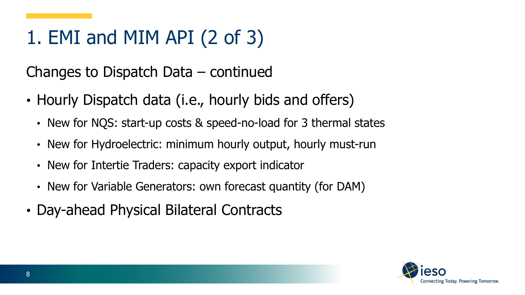# 1. EMI and MIM API (2 of 3)

Changes to Dispatch Data – continued

- Hourly Dispatch data (i.e., hourly bids and offers)
	- New for NQS: start-up costs & speed-no-load for 3 thermal states
	- New for Hydroelectric: minimum hourly output, hourly must-run
	- New for Intertie Traders: capacity export indicator
	- New for Variable Generators: own forecast quantity (for DAM)
- Day-ahead Physical Bilateral Contracts

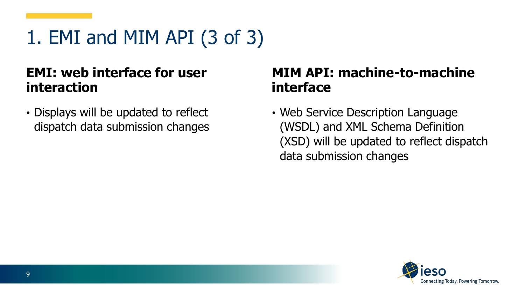1. EMI and MIM API (3 of 3)

#### **EMI: web interface for user interaction**

• Displays will be updated to reflect dispatch data submission changes

#### **MIM API: machine-to-machine interface**

• Web Service Description Language (WSDL) and XML Schema Definition (XSD) will be updated to reflect dispatch data submission changes

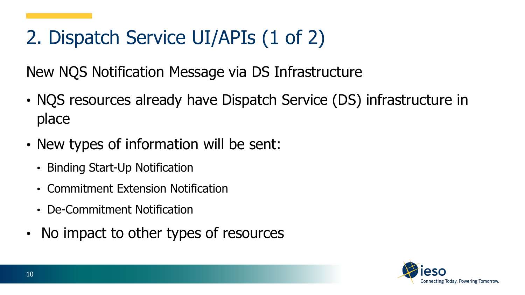# 2. Dispatch Service UI/APIs (1 of 2)

New NQS Notification Message via DS Infrastructure

- NQS resources already have Dispatch Service (DS) infrastructure in place
- New types of information will be sent:
	- Binding Start-Up Notification
	- Commitment Extension Notification
	- De-Commitment Notification
- No impact to other types of resources

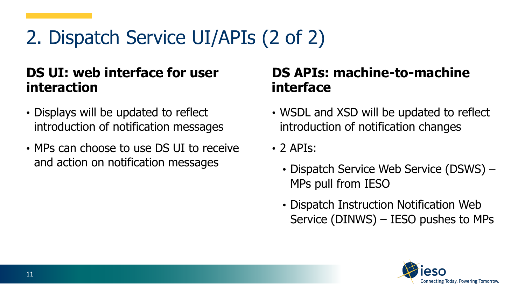# 2. Dispatch Service UI/APIs (2 of 2)

#### **DS UI: web interface for user interaction**

- Displays will be updated to reflect introduction of notification messages
- MPs can choose to use DS UI to receive and action on notification messages

#### **DS APIs: machine-to-machine interface**

- WSDL and XSD will be updated to reflect introduction of notification changes
- $\cdot$  2 APIs:
	- Dispatch Service Web Service (DSWS) MPs pull from IESO
	- Dispatch Instruction Notification Web Service (DINWS) – IESO pushes to MPs

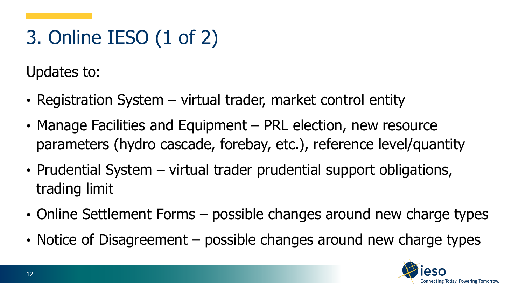# 3. Online IESO (1 of 2)

Updates to:

- Registration System virtual trader, market control entity
- Manage Facilities and Equipment PRL election, new resource parameters (hydro cascade, forebay, etc.), reference level/quantity
- Prudential System virtual trader prudential support obligations, trading limit
- Online Settlement Forms possible changes around new charge types
- Notice of Disagreement possible changes around new charge types

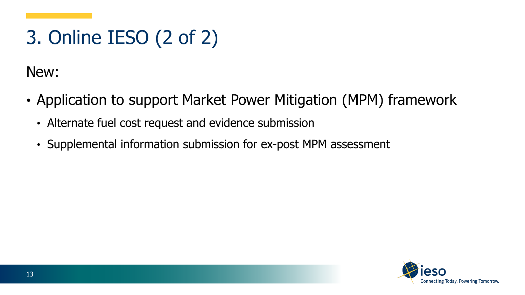# 3. Online IESO (2 of 2)

New:

- Application to support Market Power Mitigation (MPM) framework
	- Alternate fuel cost request and evidence submission
	- Supplemental information submission for ex-post MPM assessment

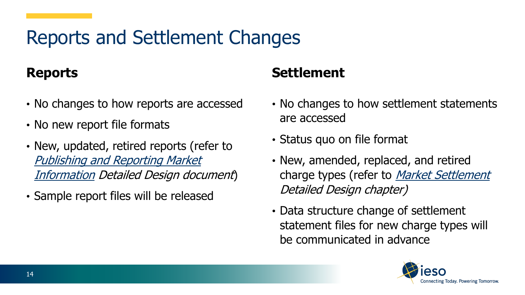### Reports and Settlement Changes

#### **Reports**

- No changes to how reports are accessed
- No new report file formats
- New, updated, retired reports (refer to [Publishing and Reporting Market](https://www.ieso.ca/-/media/Files/IESO/Document-Library/market-renewal/MRP_Publishing-and-Reporting_Chapter_V2.ashx)  Information Detailed Design document)
- Sample report files will be released

#### **Settlement**

- No changes to how settlement statements are accessed
- Status quo on file format
- New, amended, replaced, and retired charge types (refer to *Market Settlement* Detailed Design chapter)
- Data structure change of settlement statement files for new charge types will be communicated in advance

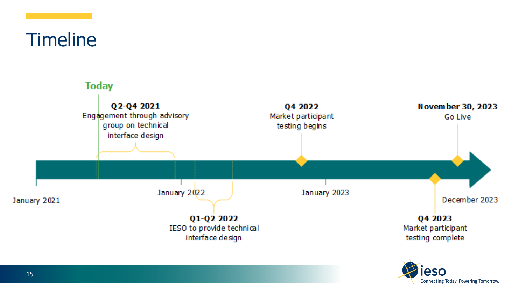**Timeline** 



Connecting Today. Powering Tomorrow.

15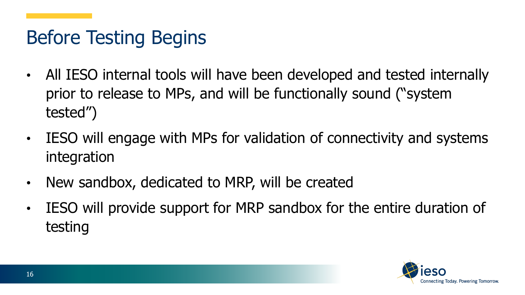## Before Testing Begins

- All IESO internal tools will have been developed and tested internally prior to release to MPs, and will be functionally sound ("system tested")
- IESO will engage with MPs for validation of connectivity and systems integration
- New sandbox, dedicated to MRP, will be created
- IESO will provide support for MRP sandbox for the entire duration of testing

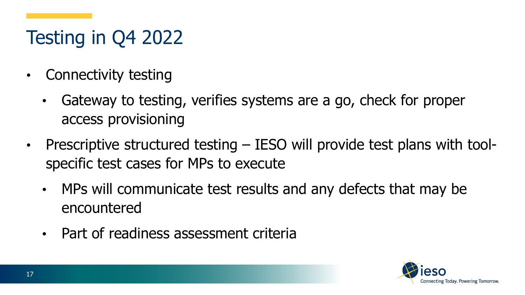# Testing in Q4 2022

- Connectivity testing
	- Gateway to testing, verifies systems are a go, check for proper access provisioning
- Prescriptive structured testing IESO will provide test plans with toolspecific test cases for MPs to execute
	- MPs will communicate test results and any defects that may be encountered
	- Part of readiness assessment criteria

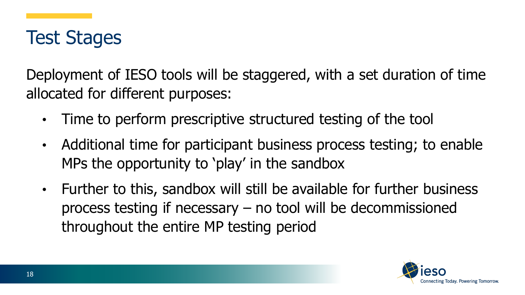

Deployment of IESO tools will be staggered, with a set duration of time allocated for different purposes:

- Time to perform prescriptive structured testing of the tool
- Additional time for participant business process testing; to enable MPs the opportunity to 'play' in the sandbox
- Further to this, sandbox will still be available for further business process testing if necessary – no tool will be decommissioned throughout the entire MP testing period

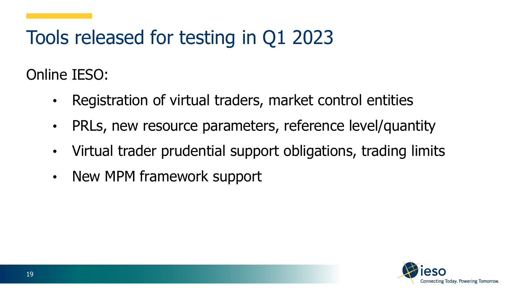### Tools released for testing in Q1 2023

Online IESO:

- Registration of virtual traders, market control entities
- PRLs, new resource parameters, reference level/quantity
- Virtual trader prudential support obligations, trading limits
- New MPM framework support

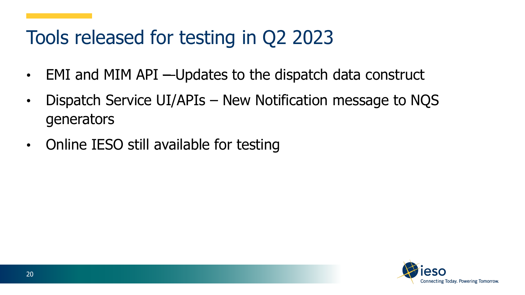### Tools released for testing in Q2 2023

- EMI and MIM API —Updates to the dispatch data construct
- Dispatch Service UI/APIs New Notification message to NQS generators
- Online IESO still available for testing

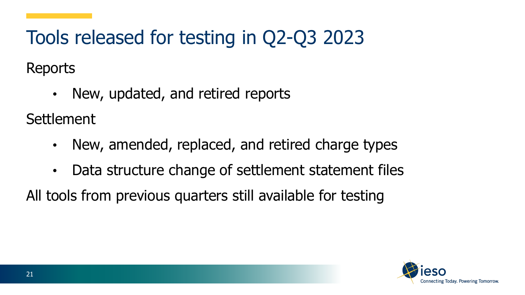Tools released for testing in Q2-Q3 2023 Reports

• New, updated, and retired reports

**Settlement** 

- New, amended, replaced, and retired charge types
- Data structure change of settlement statement files

All tools from previous quarters still available for testing

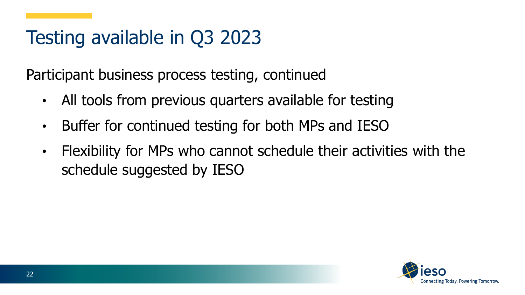## Testing available in Q3 2023

Participant business process testing, continued

- All tools from previous quarters available for testing
- Buffer for continued testing for both MPs and IESO
- Flexibility for MPs who cannot schedule their activities with the schedule suggested by IESO